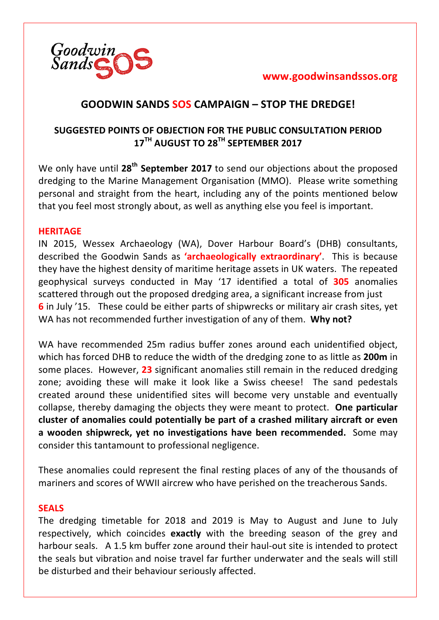# **GOODWIN SANDS SOS CAMPAIGN – STOP THE DREDGE!**

## **SUGGESTED POINTS OF OBJECTION FOR THE PUBLIC CONSULTATION PERIOD 17TH AUGUST TO 28TH SEPTEMBER 2017**

We only have until 28<sup>th</sup> September 2017 to send our objections about the proposed dredging to the Marine Management Organisation (MMO). Please write something personal and straight from the heart, including any of the points mentioned below that you feel most strongly about, as well as anything else you feel is important.

### **HERITAGE**

IN 2015, Wessex Archaeology (WA), Dover Harbour Board's (DHB) consultants, described the Goodwin Sands as **'archaeologically extraordinary'**. This is because they have the highest density of maritime heritage assets in UK waters. The repeated geophysical surveys conducted in May '17 identified a total of 305 anomalies scattered through out the proposed dredging area, a significant increase from just **6** in July '15. These could be either parts of shipwrecks or military air crash sites, yet WA has not recommended further investigation of any of them. Why not?

WA have recommended 25m radius buffer zones around each unidentified object, which has forced DHB to reduce the width of the dredging zone to as little as **200m** in some places. However, 23 significant anomalies still remain in the reduced dredging zone; avoiding these will make it look like a Swiss cheese! The sand pedestals created around these unidentified sites will become very unstable and eventually collapse, thereby damaging the objects they were meant to protect. **One particular cluster of anomalies could potentially be part of a crashed military aircraft or even a** wooden shipwreck, yet no investigations have been recommended. Some may consider this tantamount to professional negligence.

These anomalies could represent the final resting places of any of the thousands of mariners and scores of WWII aircrew who have perished on the treacherous Sands.

## **SEALS**

The dredging timetable for 2018 and 2019 is May to August and June to July respectively, which coincides **exactly** with the breeding season of the grey and harbour seals. A 1.5 km buffer zone around their haul-out site is intended to protect the seals but vibration and noise travel far further underwater and the seals will still be disturbed and their behaviour seriously affected.